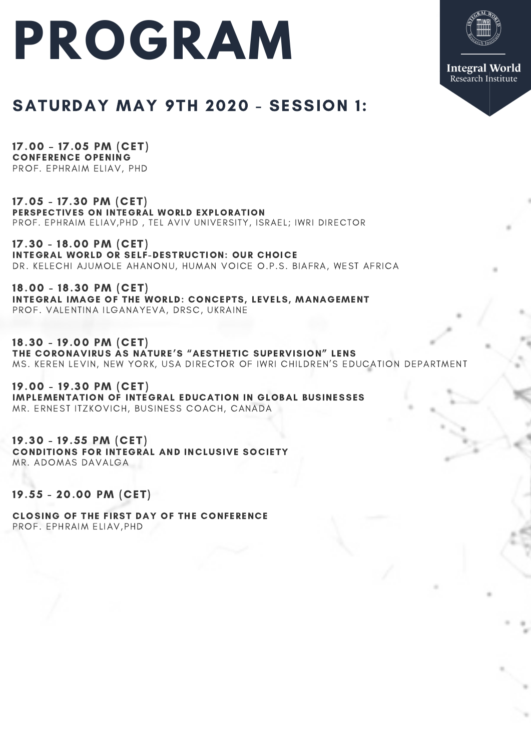## **PROGRAM**



## SATURDAY MAY 9TH 2020 - SESSION 1:

17.00 – 17.05 PM (CET) CONFERENCE OPENING PROF. EPHRAIM ELIAV, PHD

17.05 - 17.30 PM (CET) PERSPECTIVES ON INTEGRAL WORLD EXPLORATION PROF. EPHRAIM ELIAV, PHD, TEL AVIV UNIVERSITY, ISRAEL; IWRI DIRECTOR

17.30 - 18.00 PM (CET) INTEGRAL WORLD OR SELF-DESTRUCTION: OUR CHOICE DR. KELECHI AJUMOLE AHANONU, HUMAN VOICE O.P.S. BIAFRA, WEST AFRICA

18.00 - 18.30 PM (CET) INTEGRAL IMAGE OF THE WORLD: CONCEPTS, LEVELS, MANAGEMENT PROF. VALENTINA ILGANAYEVA, DRSC, UKRAINE

18.30 - 19.00 PM (CET) THE CORONAVIRUS AS NATURE'S "AESTHETIC SUPERVISION" LENS MS. KEREN LEVIN, NEW YORK, USA DIRECTOR OF IWRI CHILDREN'S EDUCATION DEPARTMENT

19.00 - 19.30 PM (CET) IMPLEMENTATION OF INTEGRAL EDUCATION IN GLOBAL BUSINESSES MR. ERNEST ITZKOVICH, BUSINESS COACH, CANADA

19.30 - 19.55 PM (CET) CONDITIONS FOR INTEGRAL AND INCLUSIVE SOCIETY MR. ADOMAS DAVALGA

19.55 - 20.00 PM (CET)

CLOSING OF THE FIRST DAY OF THE CONFERENCE PROF. EPHRAIM ELIAV, PHD